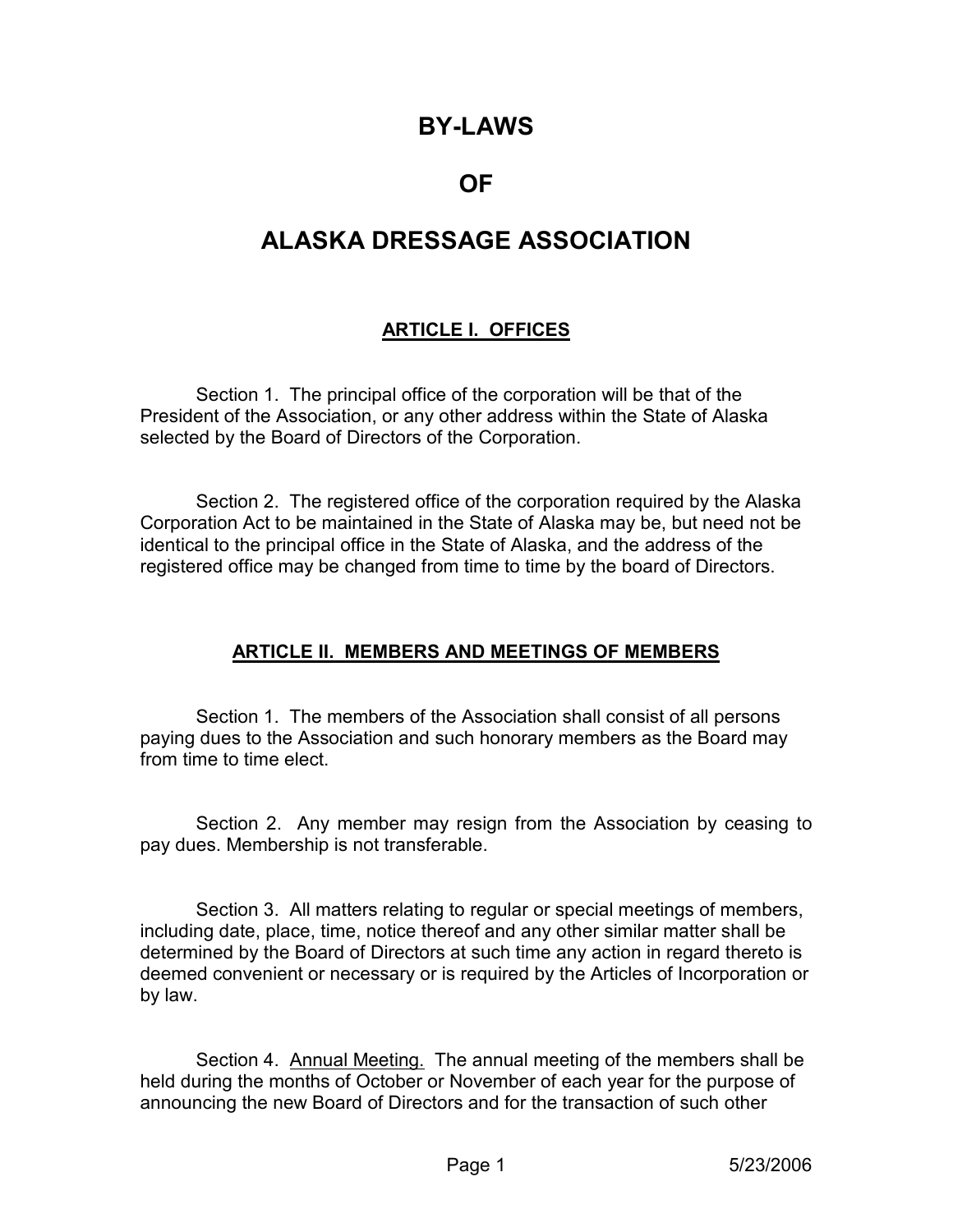# BY-LAWS

# OF

# ALASKA DRESSAGE ASSOCIATION

#### ARTICLE I. OFFICES

 Section 1. The principal office of the corporation will be that of the President of the Association, or any other address within the State of Alaska selected by the Board of Directors of the Corporation.

 Section 2. The registered office of the corporation required by the Alaska Corporation Act to be maintained in the State of Alaska may be, but need not be identical to the principal office in the State of Alaska, and the address of the registered office may be changed from time to time by the board of Directors.

## ARTICLE II. MEMBERS AND MEETINGS OF MEMBERS

 Section 1. The members of the Association shall consist of all persons paying dues to the Association and such honorary members as the Board may from time to time elect.

 Section 2. Any member may resign from the Association by ceasing to pay dues. Membership is not transferable.

 Section 3. All matters relating to regular or special meetings of members, including date, place, time, notice thereof and any other similar matter shall be determined by the Board of Directors at such time any action in regard thereto is deemed convenient or necessary or is required by the Articles of Incorporation or by law.

Section 4. Annual Meeting. The annual meeting of the members shall be held during the months of October or November of each year for the purpose of announcing the new Board of Directors and for the transaction of such other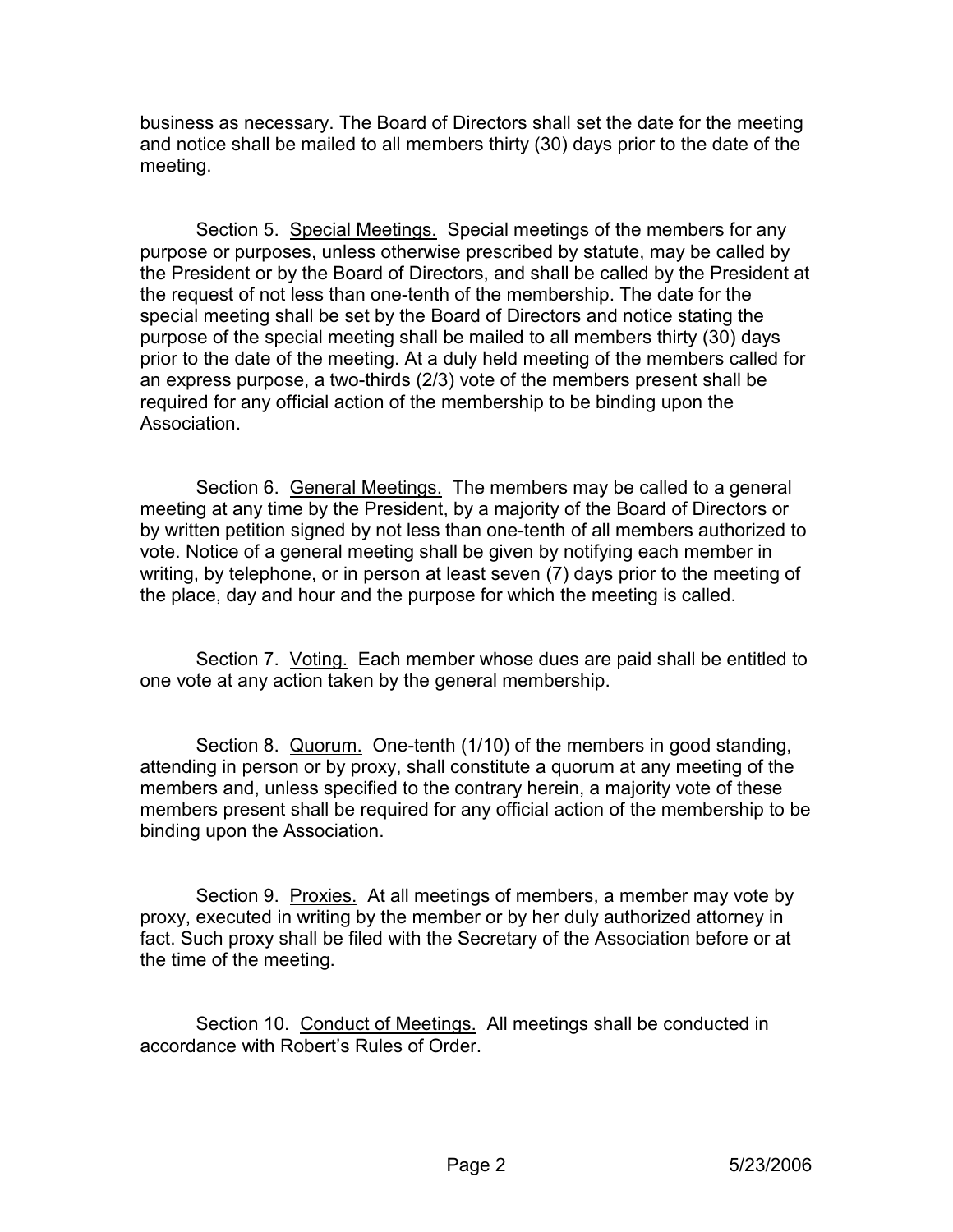business as necessary. The Board of Directors shall set the date for the meeting and notice shall be mailed to all members thirty (30) days prior to the date of the meeting.

Section 5. Special Meetings. Special meetings of the members for any purpose or purposes, unless otherwise prescribed by statute, may be called by the President or by the Board of Directors, and shall be called by the President at the request of not less than one-tenth of the membership. The date for the special meeting shall be set by the Board of Directors and notice stating the purpose of the special meeting shall be mailed to all members thirty (30) days prior to the date of the meeting. At a duly held meeting of the members called for an express purpose, a two-thirds (2/3) vote of the members present shall be required for any official action of the membership to be binding upon the **Association** 

 Section 6. General Meetings. The members may be called to a general meeting at any time by the President, by a majority of the Board of Directors or by written petition signed by not less than one-tenth of all members authorized to vote. Notice of a general meeting shall be given by notifying each member in writing, by telephone, or in person at least seven (7) days prior to the meeting of the place, day and hour and the purpose for which the meeting is called.

 Section 7. Voting. Each member whose dues are paid shall be entitled to one vote at any action taken by the general membership.

Section 8. Quorum. One-tenth (1/10) of the members in good standing, attending in person or by proxy, shall constitute a quorum at any meeting of the members and, unless specified to the contrary herein, a majority vote of these members present shall be required for any official action of the membership to be binding upon the Association.

Section 9. Proxies. At all meetings of members, a member may vote by proxy, executed in writing by the member or by her duly authorized attorney in fact. Such proxy shall be filed with the Secretary of the Association before or at the time of the meeting.

Section 10. Conduct of Meetings. All meetings shall be conducted in accordance with Robert's Rules of Order.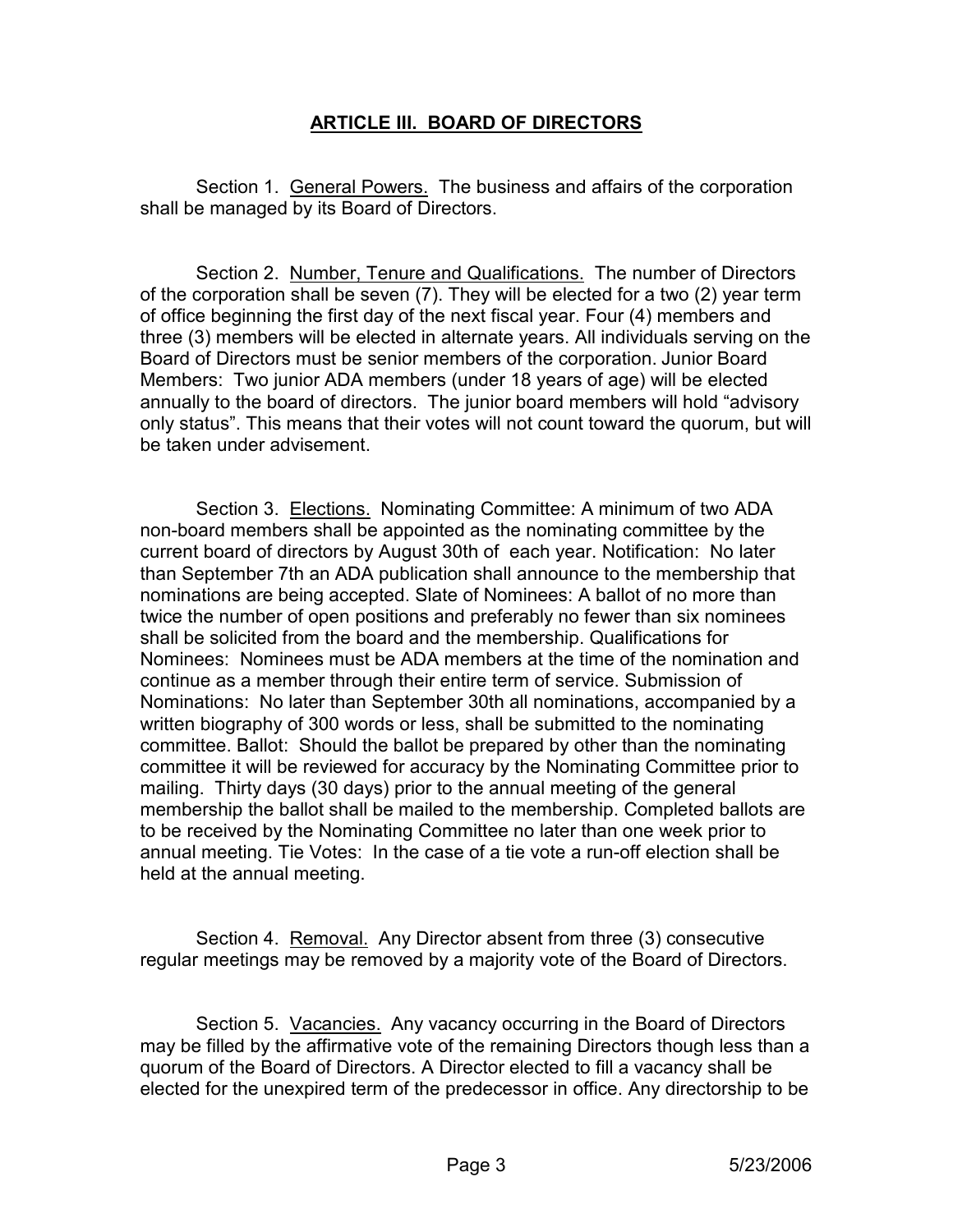#### ARTICLE III. BOARD OF DIRECTORS

Section 1. General Powers. The business and affairs of the corporation shall be managed by its Board of Directors.

 Section 2. Number, Tenure and Qualifications. The number of Directors of the corporation shall be seven (7). They will be elected for a two (2) year term of office beginning the first day of the next fiscal year. Four (4) members and three (3) members will be elected in alternate years. All individuals serving on the Board of Directors must be senior members of the corporation. Junior Board Members: Two junior ADA members (under 18 years of age) will be elected annually to the board of directors. The junior board members will hold "advisory only status". This means that their votes will not count toward the quorum, but will be taken under advisement.

 Section 3. Elections. Nominating Committee: A minimum of two ADA non-board members shall be appointed as the nominating committee by the current board of directors by August 30th of each year. Notification: No later than September 7th an ADA publication shall announce to the membership that nominations are being accepted. Slate of Nominees: A ballot of no more than twice the number of open positions and preferably no fewer than six nominees shall be solicited from the board and the membership. Qualifications for Nominees: Nominees must be ADA members at the time of the nomination and continue as a member through their entire term of service. Submission of Nominations: No later than September 30th all nominations, accompanied by a written biography of 300 words or less, shall be submitted to the nominating committee. Ballot: Should the ballot be prepared by other than the nominating committee it will be reviewed for accuracy by the Nominating Committee prior to mailing. Thirty days (30 days) prior to the annual meeting of the general membership the ballot shall be mailed to the membership. Completed ballots are to be received by the Nominating Committee no later than one week prior to annual meeting. Tie Votes: In the case of a tie vote a run-off election shall be held at the annual meeting.

 Section 4. Removal. Any Director absent from three (3) consecutive regular meetings may be removed by a majority vote of the Board of Directors.

 Section 5. Vacancies. Any vacancy occurring in the Board of Directors may be filled by the affirmative vote of the remaining Directors though less than a quorum of the Board of Directors. A Director elected to fill a vacancy shall be elected for the unexpired term of the predecessor in office. Any directorship to be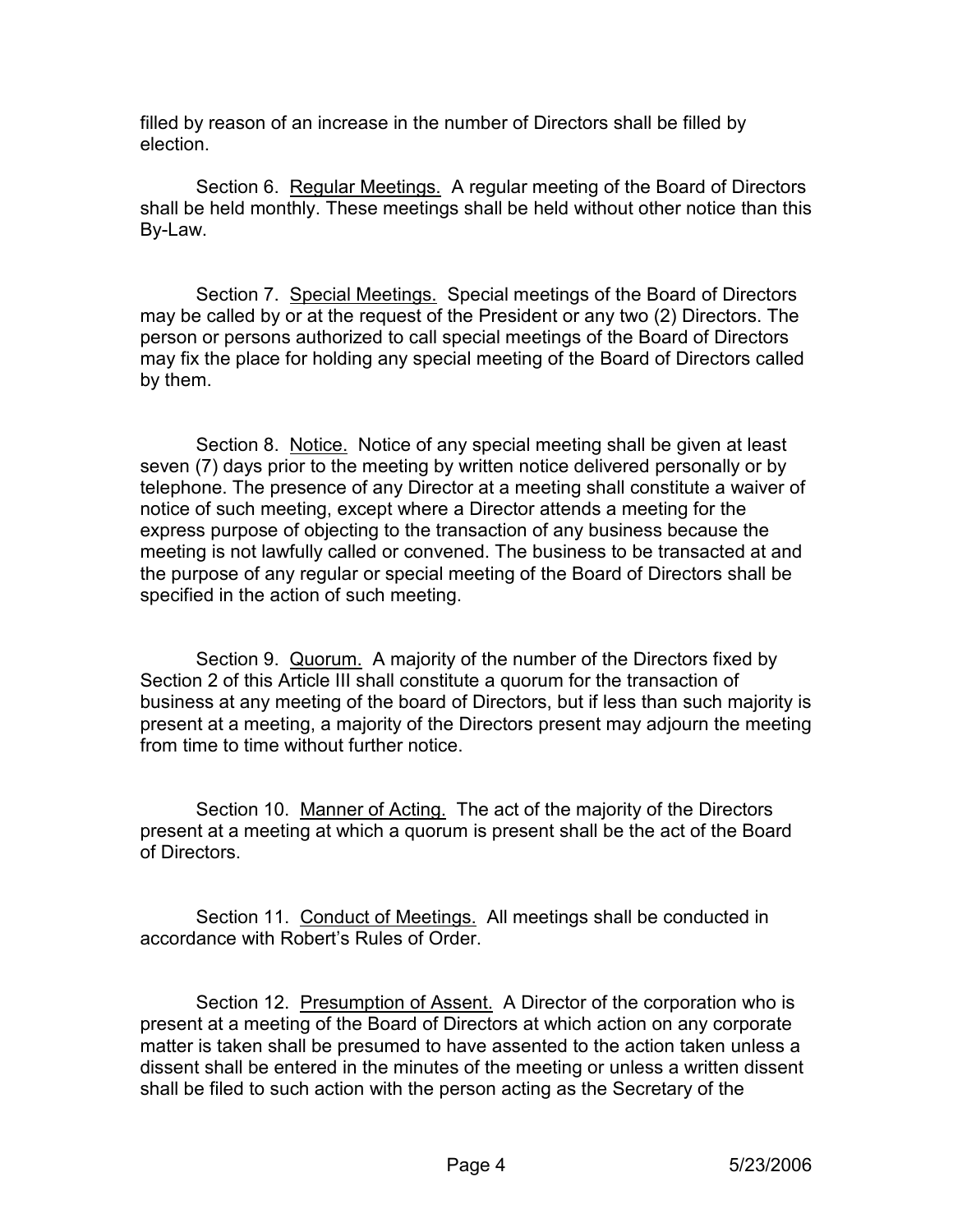filled by reason of an increase in the number of Directors shall be filled by election.

Section 6. Regular Meetings. A regular meeting of the Board of Directors shall be held monthly. These meetings shall be held without other notice than this By-Law.

 Section 7. Special Meetings. Special meetings of the Board of Directors may be called by or at the request of the President or any two (2) Directors. The person or persons authorized to call special meetings of the Board of Directors may fix the place for holding any special meeting of the Board of Directors called by them.

 Section 8. Notice. Notice of any special meeting shall be given at least seven (7) days prior to the meeting by written notice delivered personally or by telephone. The presence of any Director at a meeting shall constitute a waiver of notice of such meeting, except where a Director attends a meeting for the express purpose of objecting to the transaction of any business because the meeting is not lawfully called or convened. The business to be transacted at and the purpose of any regular or special meeting of the Board of Directors shall be specified in the action of such meeting.

 Section 9. Quorum. A majority of the number of the Directors fixed by Section 2 of this Article III shall constitute a quorum for the transaction of business at any meeting of the board of Directors, but if less than such majority is present at a meeting, a majority of the Directors present may adjourn the meeting from time to time without further notice.

 Section 10. Manner of Acting. The act of the majority of the Directors present at a meeting at which a quorum is present shall be the act of the Board of Directors.

 Section 11. Conduct of Meetings. All meetings shall be conducted in accordance with Robert's Rules of Order.

Section 12. Presumption of Assent. A Director of the corporation who is present at a meeting of the Board of Directors at which action on any corporate matter is taken shall be presumed to have assented to the action taken unless a dissent shall be entered in the minutes of the meeting or unless a written dissent shall be filed to such action with the person acting as the Secretary of the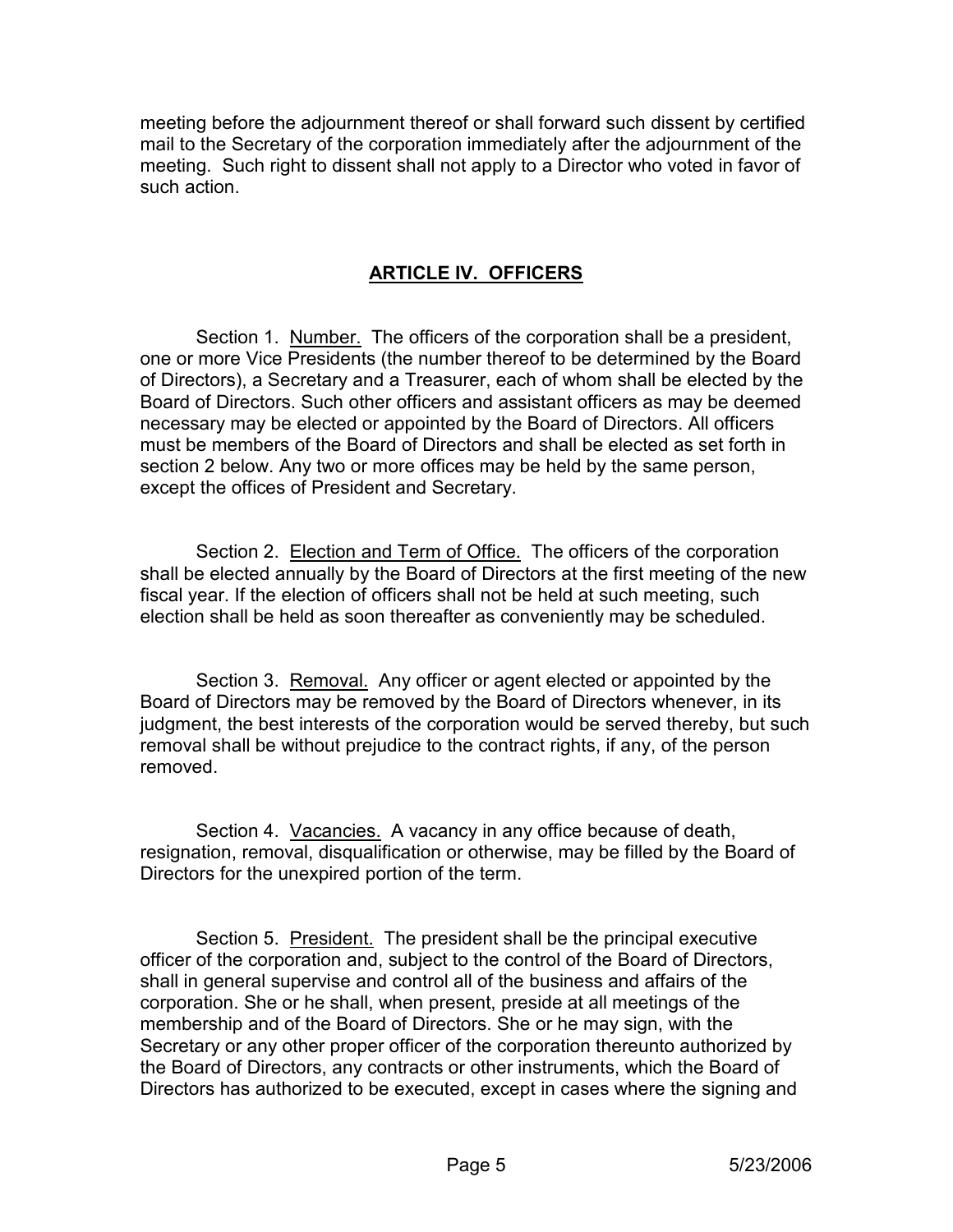meeting before the adjournment thereof or shall forward such dissent by certified mail to the Secretary of the corporation immediately after the adjournment of the meeting. Such right to dissent shall not apply to a Director who voted in favor of such action.

#### ARTICLE IV. OFFICERS

Section 1. Number. The officers of the corporation shall be a president, one or more Vice Presidents (the number thereof to be determined by the Board of Directors), a Secretary and a Treasurer, each of whom shall be elected by the Board of Directors. Such other officers and assistant officers as may be deemed necessary may be elected or appointed by the Board of Directors. All officers must be members of the Board of Directors and shall be elected as set forth in section 2 below. Any two or more offices may be held by the same person, except the offices of President and Secretary.

 Section 2. Election and Term of Office. The officers of the corporation shall be elected annually by the Board of Directors at the first meeting of the new fiscal year. If the election of officers shall not be held at such meeting, such election shall be held as soon thereafter as conveniently may be scheduled.

Section 3. Removal. Any officer or agent elected or appointed by the Board of Directors may be removed by the Board of Directors whenever, in its judgment, the best interests of the corporation would be served thereby, but such removal shall be without prejudice to the contract rights, if any, of the person removed.

 Section 4. Vacancies. A vacancy in any office because of death, resignation, removal, disqualification or otherwise, may be filled by the Board of Directors for the unexpired portion of the term.

 Section 5. President. The president shall be the principal executive officer of the corporation and, subject to the control of the Board of Directors, shall in general supervise and control all of the business and affairs of the corporation. She or he shall, when present, preside at all meetings of the membership and of the Board of Directors. She or he may sign, with the Secretary or any other proper officer of the corporation thereunto authorized by the Board of Directors, any contracts or other instruments, which the Board of Directors has authorized to be executed, except in cases where the signing and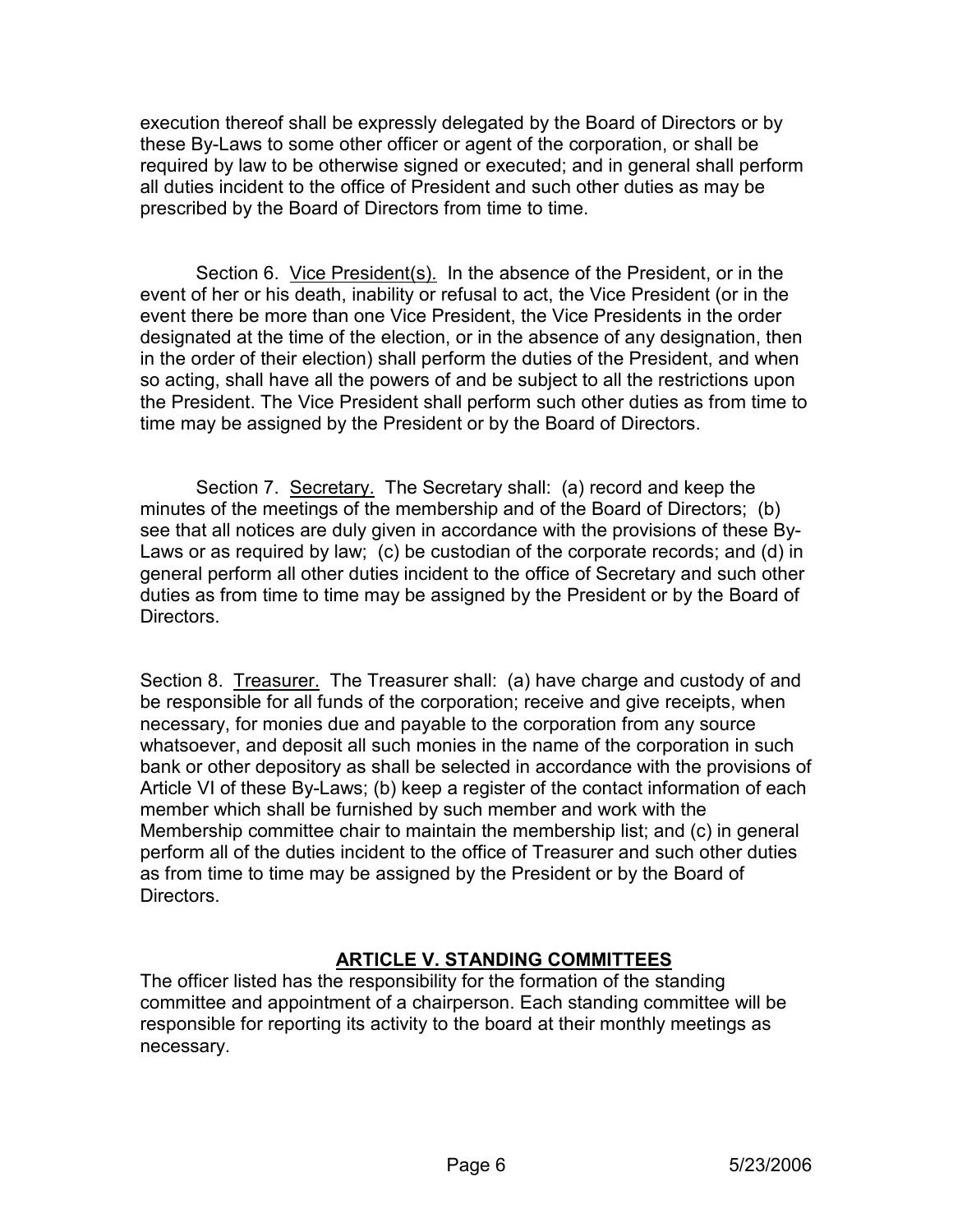execution thereof shall be expressly delegated by the Board of Directors or by these By-Laws to some other officer or agent of the corporation, or shall be required by law to be otherwise signed or executed; and in general shall perform all duties incident to the office of President and such other duties as may be prescribed by the Board of Directors from time to time.

 Section 6. Vice President(s). In the absence of the President, or in the event of her or his death, inability or refusal to act, the Vice President (or in the event there be more than one Vice President, the Vice Presidents in the order designated at the time of the election, or in the absence of any designation, then in the order of their election) shall perform the duties of the President, and when so acting, shall have all the powers of and be subject to all the restrictions upon the President. The Vice President shall perform such other duties as from time to time may be assigned by the President or by the Board of Directors.

 Section 7. Secretary. The Secretary shall: (a) record and keep the minutes of the meetings of the membership and of the Board of Directors; (b) see that all notices are duly given in accordance with the provisions of these By-Laws or as required by law; (c) be custodian of the corporate records; and (d) in general perform all other duties incident to the office of Secretary and such other duties as from time to time may be assigned by the President or by the Board of Directors.

Section 8. Treasurer. The Treasurer shall: (a) have charge and custody of and be responsible for all funds of the corporation; receive and give receipts, when necessary, for monies due and payable to the corporation from any source whatsoever, and deposit all such monies in the name of the corporation in such bank or other depository as shall be selected in accordance with the provisions of Article VI of these By-Laws; (b) keep a register of the contact information of each member which shall be furnished by such member and work with the Membership committee chair to maintain the membership list; and (c) in general perform all of the duties incident to the office of Treasurer and such other duties as from time to time may be assigned by the President or by the Board of Directors.

## ARTICLE V. STANDING COMMITTEES

The officer listed has the responsibility for the formation of the standing committee and appointment of a chairperson. Each standing committee will be responsible for reporting its activity to the board at their monthly meetings as necessary.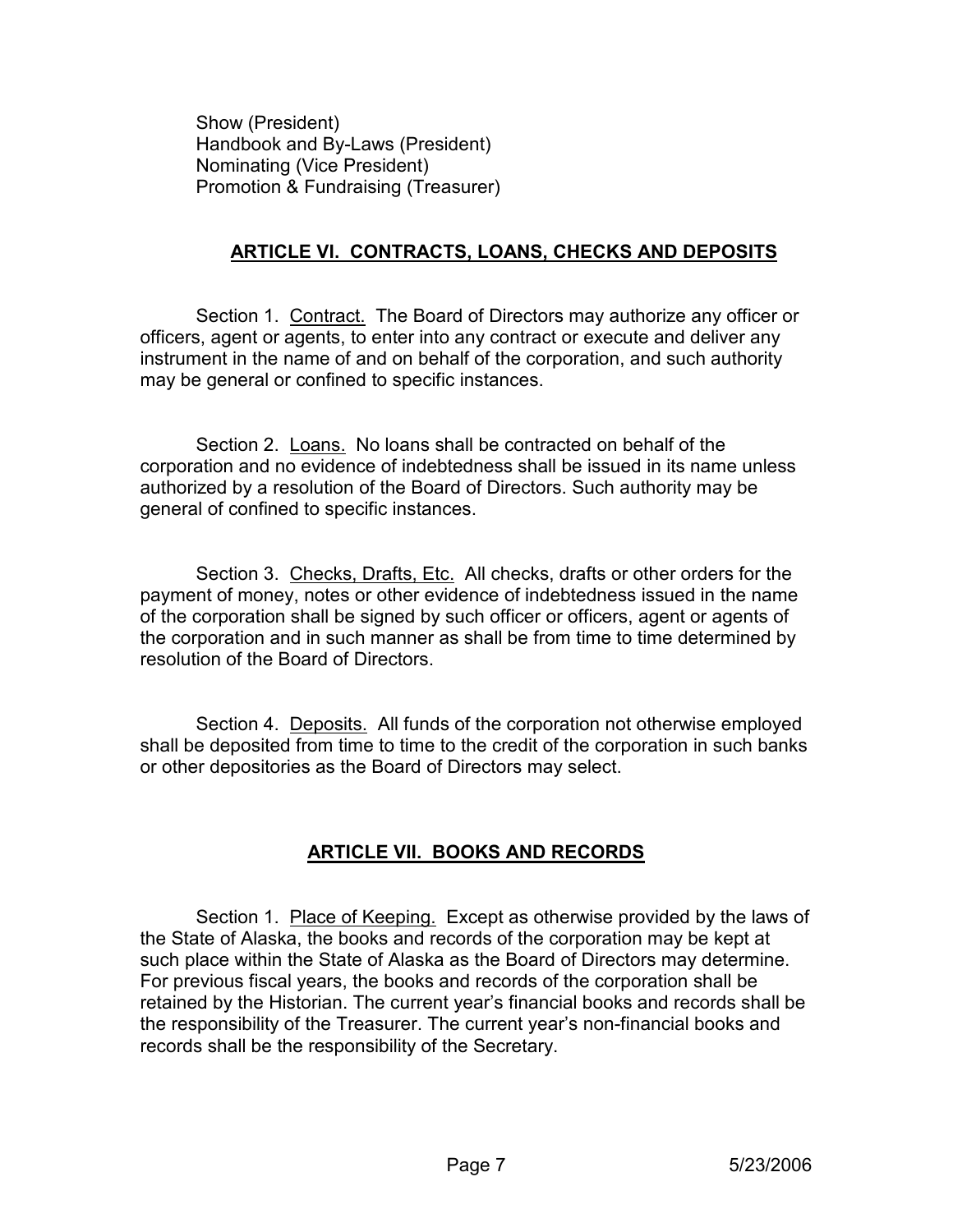Show (President) Handbook and By-Laws (President) Nominating (Vice President) Promotion & Fundraising (Treasurer)

#### ARTICLE VI. CONTRACTS, LOANS, CHECKS AND DEPOSITS

 Section 1. Contract. The Board of Directors may authorize any officer or officers, agent or agents, to enter into any contract or execute and deliver any instrument in the name of and on behalf of the corporation, and such authority may be general or confined to specific instances.

 Section 2. Loans. No loans shall be contracted on behalf of the corporation and no evidence of indebtedness shall be issued in its name unless authorized by a resolution of the Board of Directors. Such authority may be general of confined to specific instances.

Section 3. Checks, Drafts, Etc. All checks, drafts or other orders for the payment of money, notes or other evidence of indebtedness issued in the name of the corporation shall be signed by such officer or officers, agent or agents of the corporation and in such manner as shall be from time to time determined by resolution of the Board of Directors.

Section 4. Deposits. All funds of the corporation not otherwise employed shall be deposited from time to time to the credit of the corporation in such banks or other depositories as the Board of Directors may select.

# ARTICLE VII. BOOKS AND RECORDS

 Section 1. Place of Keeping. Except as otherwise provided by the laws of the State of Alaska, the books and records of the corporation may be kept at such place within the State of Alaska as the Board of Directors may determine. For previous fiscal years, the books and records of the corporation shall be retained by the Historian. The current year's financial books and records shall be the responsibility of the Treasurer. The current year's non-financial books and records shall be the responsibility of the Secretary.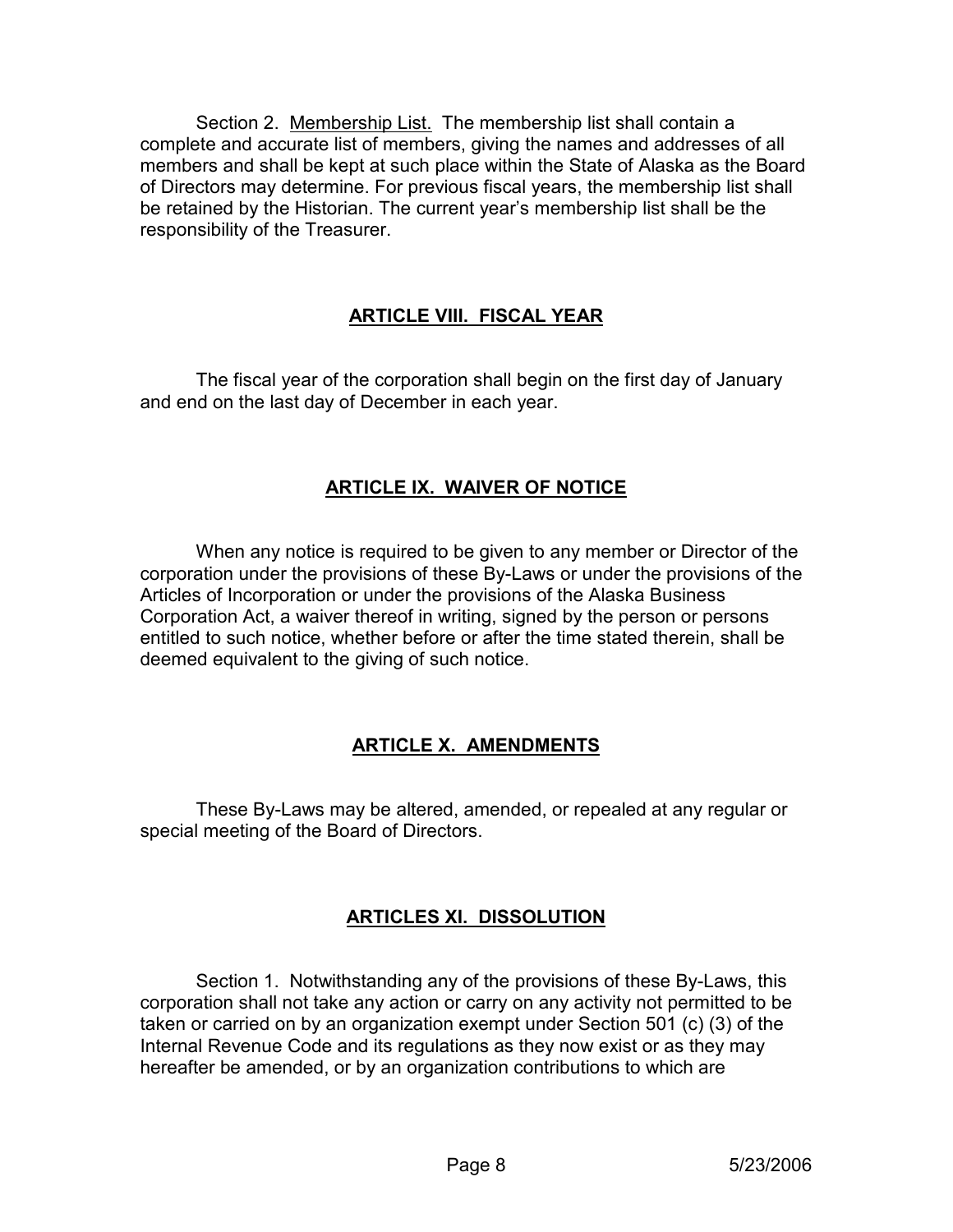Section 2. Membership List. The membership list shall contain a complete and accurate list of members, giving the names and addresses of all members and shall be kept at such place within the State of Alaska as the Board of Directors may determine. For previous fiscal years, the membership list shall be retained by the Historian. The current year's membership list shall be the responsibility of the Treasurer.

## ARTICLE VIII. FISCAL YEAR

 The fiscal year of the corporation shall begin on the first day of January and end on the last day of December in each year.

#### ARTICLE IX. WAIVER OF NOTICE

 When any notice is required to be given to any member or Director of the corporation under the provisions of these By-Laws or under the provisions of the Articles of Incorporation or under the provisions of the Alaska Business Corporation Act, a waiver thereof in writing, signed by the person or persons entitled to such notice, whether before or after the time stated therein, shall be deemed equivalent to the giving of such notice.

#### ARTICLE X. AMENDMENTS

 These By-Laws may be altered, amended, or repealed at any regular or special meeting of the Board of Directors.

#### ARTICLES XI. DISSOLUTION

 Section 1. Notwithstanding any of the provisions of these By-Laws, this corporation shall not take any action or carry on any activity not permitted to be taken or carried on by an organization exempt under Section 501 (c) (3) of the Internal Revenue Code and its regulations as they now exist or as they may hereafter be amended, or by an organization contributions to which are